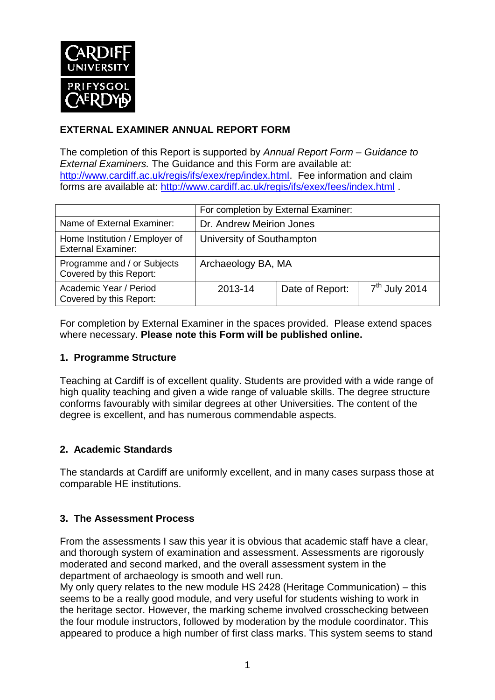

## **EXTERNAL EXAMINER ANNUAL REPORT FORM**

The completion of this Report is supported by *Annual Report Form – Guidance to External Examiners.* The Guidance and this Form are available at: [http://www.cardiff.ac.uk/regis/ifs/exex/rep/index.html.](http://www.cardiff.ac.uk/regis/ifs/exex/rep/index.html) Fee information and claim forms are available at:<http://www.cardiff.ac.uk/regis/ifs/exex/fees/index.html> .

|                                                             | For completion by External Examiner: |                 |                 |  |
|-------------------------------------------------------------|--------------------------------------|-----------------|-----------------|--|
| Name of External Examiner:                                  | Dr. Andrew Meirion Jones             |                 |                 |  |
| Home Institution / Employer of<br><b>External Examiner:</b> | University of Southampton            |                 |                 |  |
| Programme and / or Subjects<br>Covered by this Report:      | Archaeology BA, MA                   |                 |                 |  |
| Academic Year / Period<br>Covered by this Report:           | 2013-14                              | Date of Report: | $7th$ July 2014 |  |

For completion by External Examiner in the spaces provided. Please extend spaces where necessary. **Please note this Form will be published online.**

## **1. Programme Structure**

Teaching at Cardiff is of excellent quality. Students are provided with a wide range of high quality teaching and given a wide range of valuable skills. The degree structure conforms favourably with similar degrees at other Universities. The content of the degree is excellent, and has numerous commendable aspects.

## **2. Academic Standards**

The standards at Cardiff are uniformly excellent, and in many cases surpass those at comparable HE institutions.

## **3. The Assessment Process**

From the assessments I saw this year it is obvious that academic staff have a clear, and thorough system of examination and assessment. Assessments are rigorously moderated and second marked, and the overall assessment system in the department of archaeology is smooth and well run.

My only query relates to the new module HS 2428 (Heritage Communication) – this seems to be a really good module, and very useful for students wishing to work in the heritage sector. However, the marking scheme involved crosschecking between the four module instructors, followed by moderation by the module coordinator. This appeared to produce a high number of first class marks. This system seems to stand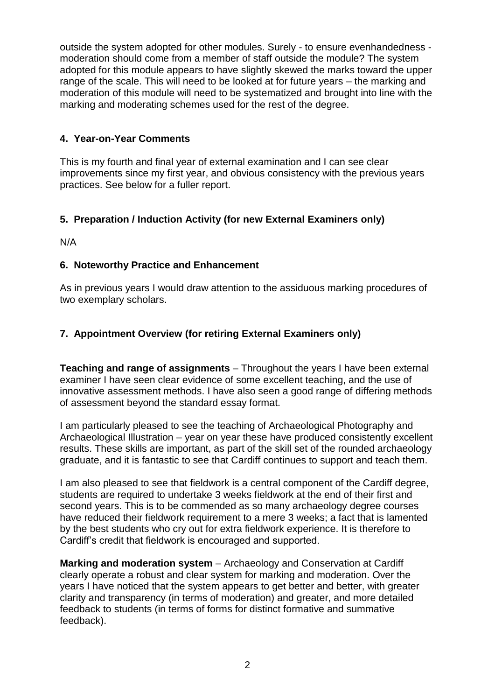outside the system adopted for other modules. Surely - to ensure evenhandedness moderation should come from a member of staff outside the module? The system adopted for this module appears to have slightly skewed the marks toward the upper range of the scale. This will need to be looked at for future years – the marking and moderation of this module will need to be systematized and brought into line with the marking and moderating schemes used for the rest of the degree.

## **4. Year-on-Year Comments**

This is my fourth and final year of external examination and I can see clear improvements since my first year, and obvious consistency with the previous years practices. See below for a fuller report.

## **5. Preparation / Induction Activity (for new External Examiners only)**

N/A

## **6. Noteworthy Practice and Enhancement**

As in previous years I would draw attention to the assiduous marking procedures of two exemplary scholars.

## **7. Appointment Overview (for retiring External Examiners only)**

**Teaching and range of assignments** – Throughout the years I have been external examiner I have seen clear evidence of some excellent teaching, and the use of innovative assessment methods. I have also seen a good range of differing methods of assessment beyond the standard essay format.

I am particularly pleased to see the teaching of Archaeological Photography and Archaeological Illustration – year on year these have produced consistently excellent results. These skills are important, as part of the skill set of the rounded archaeology graduate, and it is fantastic to see that Cardiff continues to support and teach them.

I am also pleased to see that fieldwork is a central component of the Cardiff degree, students are required to undertake 3 weeks fieldwork at the end of their first and second years. This is to be commended as so many archaeology degree courses have reduced their fieldwork requirement to a mere 3 weeks; a fact that is lamented by the best students who cry out for extra fieldwork experience. It is therefore to Cardiff's credit that fieldwork is encouraged and supported.

**Marking and moderation system** – Archaeology and Conservation at Cardiff clearly operate a robust and clear system for marking and moderation. Over the years I have noticed that the system appears to get better and better, with greater clarity and transparency (in terms of moderation) and greater, and more detailed feedback to students (in terms of forms for distinct formative and summative feedback).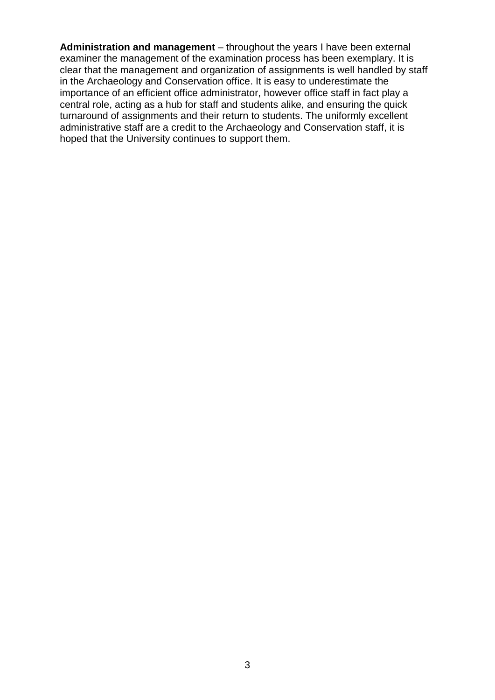**Administration and management** – throughout the years I have been external examiner the management of the examination process has been exemplary. It is clear that the management and organization of assignments is well handled by staff in the Archaeology and Conservation office. It is easy to underestimate the importance of an efficient office administrator, however office staff in fact play a central role, acting as a hub for staff and students alike, and ensuring the quick turnaround of assignments and their return to students. The uniformly excellent administrative staff are a credit to the Archaeology and Conservation staff, it is hoped that the University continues to support them.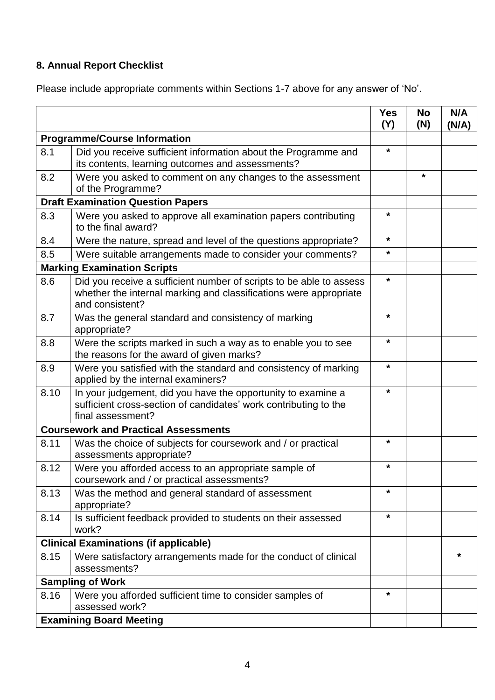# **8. Annual Report Checklist**

Please include appropriate comments within Sections 1-7 above for any answer of 'No'.

|                                             |                                                                                                                                                             | <b>Yes</b><br>(Y) | <b>No</b><br>(N) | N/A<br>(N/A) |
|---------------------------------------------|-------------------------------------------------------------------------------------------------------------------------------------------------------------|-------------------|------------------|--------------|
| <b>Programme/Course Information</b>         |                                                                                                                                                             |                   |                  |              |
| 8.1                                         | Did you receive sufficient information about the Programme and<br>its contents, learning outcomes and assessments?                                          | $\star$           |                  |              |
| 8.2                                         | Were you asked to comment on any changes to the assessment<br>of the Programme?                                                                             |                   | *                |              |
| <b>Draft Examination Question Papers</b>    |                                                                                                                                                             |                   |                  |              |
| 8.3                                         | Were you asked to approve all examination papers contributing<br>to the final award?                                                                        | *                 |                  |              |
| 8.4                                         | Were the nature, spread and level of the questions appropriate?                                                                                             | $^\star$          |                  |              |
| 8.5                                         | Were suitable arrangements made to consider your comments?                                                                                                  | *                 |                  |              |
|                                             | <b>Marking Examination Scripts</b>                                                                                                                          |                   |                  |              |
| 8.6                                         | Did you receive a sufficient number of scripts to be able to assess<br>whether the internal marking and classifications were appropriate<br>and consistent? | $\star$           |                  |              |
| 8.7                                         | Was the general standard and consistency of marking<br>appropriate?                                                                                         | *                 |                  |              |
| 8.8                                         | Were the scripts marked in such a way as to enable you to see<br>the reasons for the award of given marks?                                                  | $\star$           |                  |              |
| 8.9                                         | Were you satisfied with the standard and consistency of marking<br>applied by the internal examiners?                                                       | $\star$           |                  |              |
| 8.10                                        | In your judgement, did you have the opportunity to examine a<br>sufficient cross-section of candidates' work contributing to the<br>final assessment?       | $\star$           |                  |              |
| <b>Coursework and Practical Assessments</b> |                                                                                                                                                             |                   |                  |              |
| 8.11                                        | Was the choice of subjects for coursework and / or practical<br>assessments appropriate?                                                                    | $\star$           |                  |              |
| 8.12                                        | Were you afforded access to an appropriate sample of<br>coursework and / or practical assessments?                                                          | $\star$           |                  |              |
| 8.13                                        | Was the method and general standard of assessment<br>appropriate?                                                                                           | $\star$           |                  |              |
| 8.14                                        | Is sufficient feedback provided to students on their assessed<br>work?                                                                                      | $\star$           |                  |              |
|                                             | <b>Clinical Examinations (if applicable)</b>                                                                                                                |                   |                  |              |
| 8.15                                        | Were satisfactory arrangements made for the conduct of clinical<br>assessments?                                                                             |                   |                  | *            |
| <b>Sampling of Work</b>                     |                                                                                                                                                             |                   |                  |              |
| 8.16                                        | Were you afforded sufficient time to consider samples of<br>assessed work?                                                                                  | $\star$           |                  |              |
| <b>Examining Board Meeting</b>              |                                                                                                                                                             |                   |                  |              |